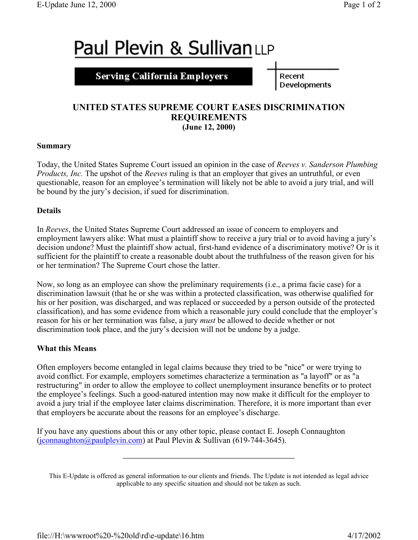# **Paul Plevin & SullivanLLP**

**Serving California Employers** 

Recent Developments

## **UNITED STATES SUPREME COURT EASES DISCRIMINATION REQUIREMENTS (June 12, 2000)**

#### **Summary**

Today, the United States Supreme Court issued an opinion in the case of *Reeves v. Sanderson Plumbing Products, Inc.* The upshot of the *Reeves* ruling is that an employer that gives an untruthful, or even questionable, reason for an employee's termination will likely not be able to avoid a jury trial, and will be bound by the jury's decision, if sued for discrimination.

#### **Details**

In *Reeves*, the United States Supreme Court addressed an issue of concern to employers and employment lawyers alike: What must a plaintiff show to receive a jury trial or to avoid having a jury's decision undone? Must the plaintiff show actual, first-hand evidence of a discriminatory motive? Or is it sufficient for the plaintiff to create a reasonable doubt about the truthfulness of the reason given for his or her termination? The Supreme Court chose the latter.

Now, so long as an employee can show the preliminary requirements (i.e., a prima facie case) for a discrimination lawsuit (that he or she was within a protected classification, was otherwise qualified for his or her position, was discharged, and was replaced or succeeded by a person outside of the protected classification), and has some evidence from which a reasonable jury could conclude that the employer's reason for his or her termination was false, a jury *must* be allowed to decide whether or not discrimination took place, and the jury's decision will not be undone by a judge.

### **What this Means**

Often employers become entangled in legal claims because they tried to be "nice" or were trying to avoid conflict. For example, employers sometimes characterize a termination as "a layoff" or as "a restructuring" in order to allow the employee to collect unemployment insurance benefits or to protect the employee's feelings. Such a good-natured intention may now make it difficult for the employer to avoid a jury trial if the employee later claims discrimination. Therefore, it is more important than ever that employers be accurate about the reasons for an employee's discharge.

If you have any questions about this or any other topic, please contact E. Joseph Connaughton (jconnaughton@paulplevin.com) at Paul Plevin & Sullivan (619-744-3645).

This E-Update is offered as general information to our clients and friends. The Update is not intended as legal advice applicable to any specific situation and should not be taken as such.